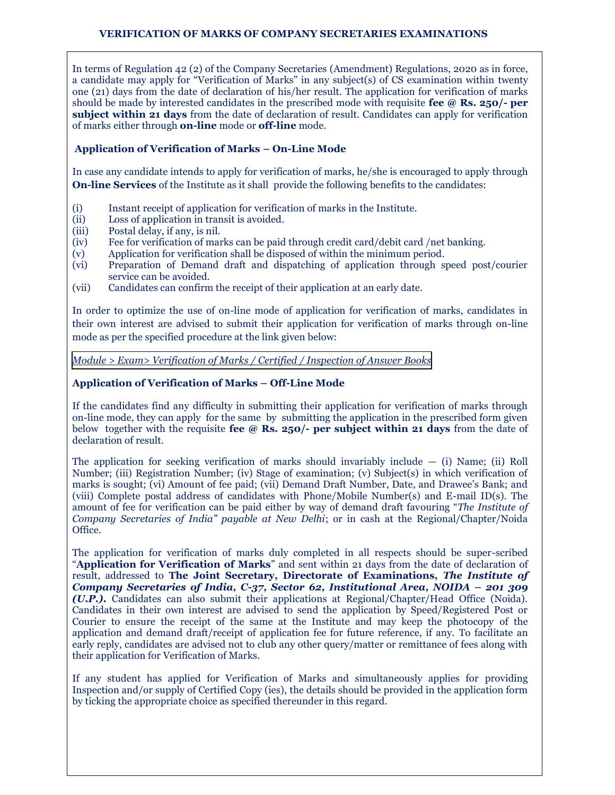## **VERIFICATION OF MARKS OF COMPANY SECRETARIES EXAMINATIONS**

In terms of Regulation 42 (2) of the Company Secretaries (Amendment) Regulations, 2020 as in force, a candidate may apply for "Verification of Marks" in any subject(s) of CS examination within twenty one (21) days from the date of declaration of his/her result. The application for verification of marks should be made by interested candidates in the prescribed mode with requisite **fee @ Rs. 250/- per subject within 21 days** from the date of declaration of result. Candidates can apply for verification of marks either through **on-line** mode or **off-line** mode.

## **Application of Verification of Marks – On-Line Mode**

In case any candidate intends to apply for verification of marks, he/she is encouraged to apply through **On-line Services** of the Institute as it shall provide the following benefits to the candidates:

- (i) Instant receipt of application for verification of marks in the Institute.
- (ii) Loss of application in transit is avoided.
- (iii) Postal delay, if any, is nil.
- (iv) Fee for verification of marks can be paid through credit card/debit card /net banking.
- (v) Application for verification shall be disposed of within the minimum period.
- (vi) Preparation of Demand draft and dispatching of application through speed post/courier service can be avoided.
- (vii) Candidates can confirm the receipt of their application at an early date.

In order to optimize the use of on-line mode of application for verification of marks, candidates in their own interest are advised to submit their application for verification of marks through on-line mode as per the specified procedure at the link given below:

*[Module > Exam> Verification of Marks / Certified / Inspection of Answer Books](https://www.icsi.edu/media/webmodules/Verification_of_Marks_of_CS_Exam.pdf)*

## **Application of Verification of Marks – Off-Line Mode**

If the candidates find any difficulty in submitting their application for verification of marks through on-line mode, they can apply for the same by submitting the application in the prescribed form given below together with the requisite **fee @ Rs. 250/- per subject within 21 days** from the date of declaration of result.

The application for seeking verification of marks should invariably include  $-$  (i) Name; (ii) Roll Number; (iii) Registration Number; (iv) Stage of examination; (v) Subject(s) in which verification of marks is sought; (vi) Amount of fee paid; (vii) Demand Draft Number, Date, and Drawee's Bank; and (viii) Complete postal address of candidates with Phone/Mobile Number(s) and E-mail ID(s). The amount of fee for verification can be paid either by way of demand draft favouring "*The Institute of Company Secretaries of India" payable at New Delhi*; or in cash at the Regional/Chapter/Noida Office.

The application for verification of marks duly completed in all respects should be super-scribed "**Application for Verification of Marks**" and sent within 21 days from the date of declaration of result, addressed to **The Joint Secretary, Directorate of Examinations,** *The Institute of Company Secretaries of India, C-37, Sector 62, Institutional Area, NOIDA – 201 309 (U.P.).* Candidates can also submit their applications at Regional/Chapter/Head Office (Noida). Candidates in their own interest are advised to send the application by Speed/Registered Post or Courier to ensure the receipt of the same at the Institute and may keep the photocopy of the application and demand draft/receipt of application fee for future reference, if any. To facilitate an early reply, candidates are advised not to club any other query/matter or remittance of fees along with their application for Verification of Marks.

If any student has applied for Verification of Marks and simultaneously applies for providing Inspection and/or supply of Certified Copy (ies), the details should be provided in the application form by ticking the appropriate choice as specified thereunder in this regard.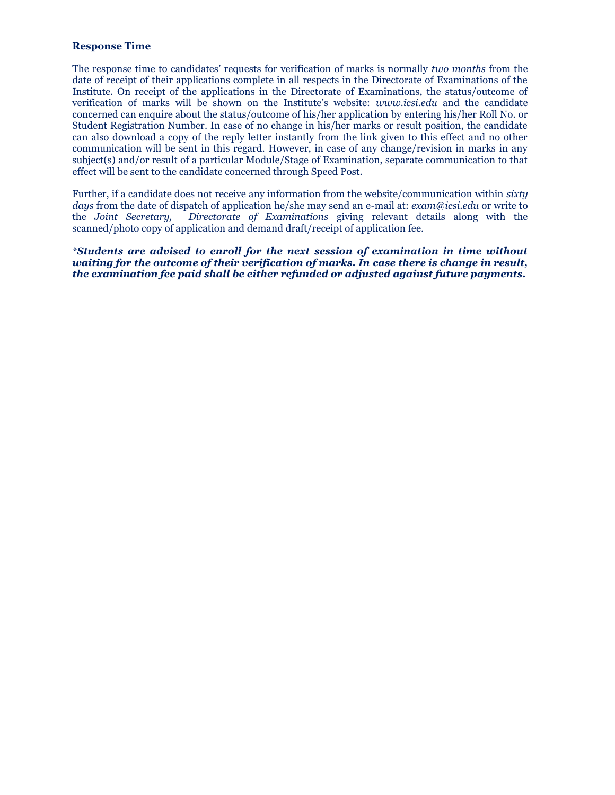## **Response Time**

The response time to candidates' requests for verification of marks is normally *two months* from the date of receipt of their applications complete in all respects in the Directorate of Examinations of the Institute. On receipt of the applications in the Directorate of Examinations, the status/outcome of verification of marks will be shown on the Institute's website: *www.icsi.edu* and the candidate concerned can enquire about the status/outcome of his/her application by entering his/her Roll No. or Student Registration Number. In case of no change in his/her marks or result position, the candidate can also download a copy of the reply letter instantly from the link given to this effect and no other communication will be sent in this regard. However, in case of any change/revision in marks in any subject(s) and/or result of a particular Module/Stage of Examination, separate communication to that effect will be sent to the candidate concerned through Speed Post.

Further, if a candidate does not receive any information from the website/communication within *sixty days* from the date of dispatch of application he/she may send an e-mail at: *exam@icsi.edu* or write to the *Joint Secretary, Directorate of Examinations* giving relevant details along with the scanned/photo copy of application and demand draft/receipt of application fee.

*\*Students are advised to enroll for the next session of examination in time without waiting for the outcome of their verification of marks. In case there is change in result, the examination fee paid shall be either refunded or adjusted against future payments.*